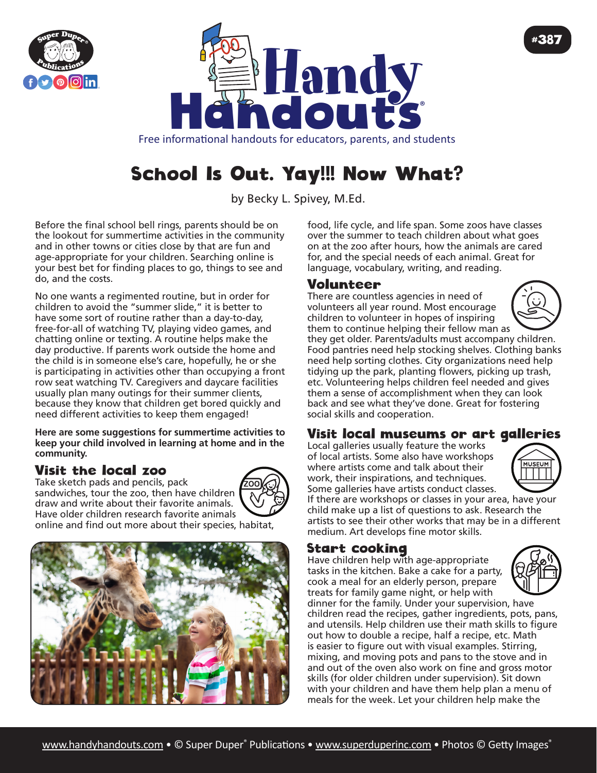



Free informational handouts for educators, parents, and students

# School Is Out. Yay!!! Now What?

by Becky L. Spivey, M.Ed.

Before the final school bell rings, parents should be on the lookout for summertime activities in the community and in other towns or cities close by that are fun and age-appropriate for your children. Searching online is your best bet for finding places to go, things to see and do, and the costs.

No one wants a regimented routine, but in order for children to avoid the "summer slide," it is better to have some sort of routine rather than a day-to-day, free-for-all of watching TV, playing video games, and chatting online or texting. A routine helps make the day productive. If parents work outside the home and the child is in someone else's care, hopefully, he or she is participating in activities other than occupying a front row seat watching TV. Caregivers and daycare facilities usually plan many outings for their summer clients, because they know that children get bored quickly and need different activities to keep them engaged!

**Here are some suggestions for summertime activities to keep your child involved in learning at home and in the community.**

## Visit the local zoo

Take sketch pads and pencils, pack sandwiches, tour the zoo, then have children draw and write about their favorite animals. Have older children research favorite animals



online and find out more about their species, habitat,



food, life cycle, and life span. Some zoos have classes over the summer to teach children about what goes on at the zoo after hours, how the animals are cared for, and the special needs of each animal. Great for language, vocabulary, writing, and reading.

## Volunteer

There are countless agencies in need of volunteers all year round. Most encourage children to volunteer in hopes of inspiring them to continue helping their fellow man as



#387

they get older. Parents/adults must accompany children. Food pantries need help stocking shelves. Clothing banks need help sorting clothes. City organizations need help tidying up the park, planting flowers, picking up trash, etc. Volunteering helps children feel needed and gives them a sense of accomplishment when they can look back and see what they've done. Great for fostering social skills and cooperation.

## Visit local museums or art galleries

Local galleries usually feature the works of local artists. Some also have workshops where artists come and talk about their work, their inspirations, and techniques. Some galleries have artists conduct classes.



If there are workshops or classes in your area, have your child make up a list of questions to ask. Research the artists to see their other works that may be in a different medium. Art develops fine motor skills.

#### Start cooking

Have children help with age-appropriate tasks in the kitchen. Bake a cake for a party, cook a meal for an elderly person, prepare treats for family game night, or help with



dinner for the family. Under your supervision, have children read the recipes, gather ingredients, pots, pans, and utensils. Help children use their math skills to figure out how to double a recipe, half a recipe, etc. Math is easier to figure out with visual examples. Stirring, mixing, and moving pots and pans to the stove and in and out of the oven also work on fine and gross motor skills (for older children under supervision). Sit down with your children and have them help plan a menu of meals for the week. Let your children help make the